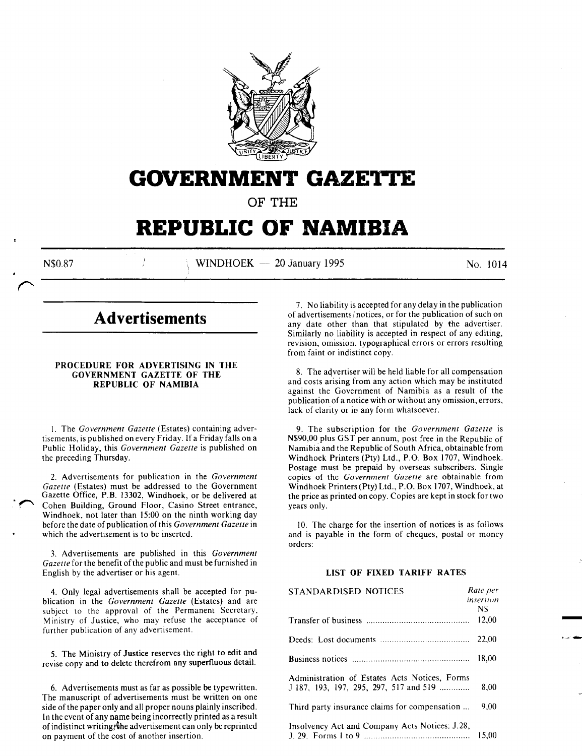

# **GOVERNMENT GAZETI'E**

OF THE

# **REPUBLIC OF NAMIBIA**

N\$0.87 1 WINDHOEK -- 20 January 1995 No. 1014

-

............

### **Advertisements**

#### PROCEDURE FOR ADVERTISING IN THE GOVERNMENT GAZETTE OF THE REPUBLIC OF NAMIBIA

I. The *Government Gazette* (Estates) containing advertisements, is published on every Friday. If a Friday falls on a Public Holiday, this *Government Gazette* is published on the preceding Thursday.

2. Advertisements for publication in the *Government Gazette* (Estates) must be addressed to the Government Gazette Office, P.B. 13302, Windhoek, or be delivered at Cohen Building, Ground Floor, Casino Street entrance, Windhoek, not later than 15:00 on the ninth working day before the date of publication of this *Government Gazette* in which the advertisement is to be inserted.

3. Advertisements are published in this *Government Gazette* for the benefit of the public and must be furnished in English by the advertiser or his agent.

4. Only legal advertisements shall be accepted for publication in the *Government Gazette* (Estates) and are subject to the approval of the Permanent Secretary, Ministry of Justice, who may refuse the acceptance of further publication of any advertisement.

5. The Ministry of Justice reserves the right to edit and revise copy and to delete therefrom any superfluous detail.

6. Advertisements must as far as possible be typewritten. The manuscript of advertisements must be written on one side of the paper only and all proper nouns plainly inscribed. In the event of any name being incorrectly printed as a result of indistinct writing, the advertisement can only be reprinted on payment of the cost of another insertion.

7. No liability is accepted for any delay in the publication of advertisements/ notices, or for the publication of such on any date other than that stipulated by the advertiser. Similarly no liability is accepted in respect of any editing, revision, omission, typographical errors or errors resulting from faint or indistinct copy.

8. The advertiser will be held liable for all compensation and costs arising from any action which may be instituted against the Government of Namibia as a result of the publication of a notice with or without any omission, errors, lack of clarity or in any form whatsoever.

9. The subscription for the *Government Gazette* is N\$90,00 plus GST per annum, post free in the Republic of Namibia and the Republic of South Africa, obtainable from Windhoek Printers (Pty) Ltd., P.O. Box 1707, Windhoek. Postage must be prepaid by overseas subscribers. Single copies of the *Government Gazette* are obtainable from Windhoek Printers (Pty) Ltd., P.O. Box 1707, Windhoek, at the price as printed on copy. Copies are kept in stock for two years only.

10. The charge for the insertion of notices is as follows and is payable in the form of cheques, postal *or* money orders:

### LIST OF FIXED TARIFF RATES

| STANDARDISED NOTICES                                                                    | Rate per<br>insertion |
|-----------------------------------------------------------------------------------------|-----------------------|
|                                                                                         | N\$.                  |
|                                                                                         | 12.00                 |
|                                                                                         | 22.00                 |
|                                                                                         | 18.00                 |
| Administration of Estates Acts Notices, Forms<br>J 187, 193, 197, 295, 297, 517 and 519 | 8.00                  |
| Third party insurance claims for compensation                                           | 9,00                  |
| Insolvency Act and Company Acts Notices: J.28,                                          | 15.00                 |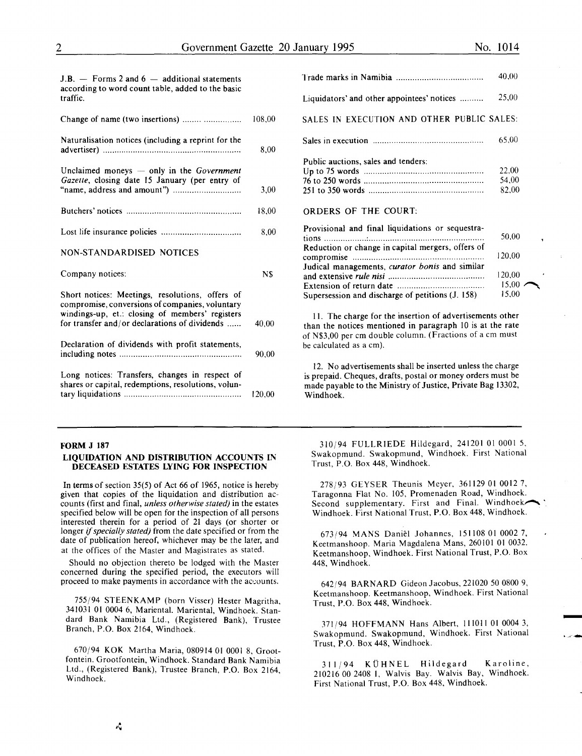| I |    |
|---|----|
|   |    |
|   | ۰. |
|   |    |
|   |    |

| $J.B.$ – Forms 2 and 6 – additional statements<br>according to word count table, added to the basic<br>traffic.                                       |        |
|-------------------------------------------------------------------------------------------------------------------------------------------------------|--------|
| Change of name (two insertions)                                                                                                                       | 108,00 |
| Naturalisation notices (including a reprint for the                                                                                                   | 8,00   |
| Unclaimed moneys — only in the Government<br>Gazette, closing date 15 January (per entry of                                                           | 3,00   |
|                                                                                                                                                       | 18,00  |
|                                                                                                                                                       | 8,00   |
| NON-STANDARDISED NOTICES                                                                                                                              |        |
| Company notices:                                                                                                                                      | N\$    |
| Short notices: Meetings, resolutions, offers of<br>compromise, conversions of companies, voluntary<br>windings-up, et.: closing of members' registers |        |
| for transfer and/or declarations of dividends                                                                                                         | 40,00  |
| Declaration of dividends with profit statements,                                                                                                      | 90.00  |
| Long notices: Transfers, changes in respect of<br>shares or capital, redemptions, resolutions, volun-                                                 |        |

| LONG nonces. Transiers, changes in respect of       |        |  |
|-----------------------------------------------------|--------|--|
| shares or capital, redemptions, resolutions, volun- |        |  |
|                                                     | 120.00 |  |
|                                                     |        |  |

#### FORM J 187

#### LIQUIDATION AND DISTRIBUTION ACCOUNTS IN DECEASED ESTATES LYING FOR INSPECTION

In terms of section 35(5) of Act 66 of 1965, notice is hereby given that copies of the liquidation and distribution accounts (first and final, *unless otherwise stated)* in the estates specified below will be open for the inspection of all persons interested therein for a period of 21 days (or shorter or longer if *specially stated)* from the date specified or from the date of publication hereof, whichever may be the later, and at the offices of the Master and Magistrates as stated.

Should no objection thereto be lodged with the Master concerned during the specified period, the executors will proceed to make payments in accordance with the accounts.

755/94 STEENKAMP (born Visser) Hester Magritha, 341031 01 0004 6, Mariental. Mariental, Windhoek. Standard Bank Namibia Ltd., (Registered Bank), Trustee Branch, P.O. Box 2164, Windhoek.

670/94 KOK Martha Maria, 080914 01 0001 8, Grootfontein. Grootfontein, Windhoek. Standard Bank Namibia Ltd., (Registered Bank), Trustee Branch, P.O. Box 2164, Windhoek.

|                                                   | 40.00                   |  |
|---------------------------------------------------|-------------------------|--|
| Liquidators' and other appointees' notices        | 25,00                   |  |
| SALES IN EXECUTION AND OTHER PUBLIC SALES:        |                         |  |
|                                                   | 65,00                   |  |
| Public auctions, sales and tenders:               | 22,00<br>54,00<br>82,00 |  |
| <b>ORDERS OF THE COURT:</b>                       |                         |  |
| Provisional and final liquidations or sequestra-  | 50.00                   |  |
| Reduction or change in capital mergers, offers of | 120,00                  |  |
| Judical managements, curator bonis and similar    | 120.00<br>15,00.        |  |
| Supersession and discharge of petitions (J. 158)  | 15.00                   |  |

II. The charge for the insertion of advertisements other than the notices mentioned in paragraph 10 is at the rate of N\$3,00 per em double column. (Fractions of a em must be calculated as a em).

12. No advertisements shall be inserted unless the charge is prepaid. Cheques, drafts, postal or money orders must be made payable to the Ministry of Justice, Private Bag 13302, Windhoek.

310/94 FULLRIEDE Hildegard, 241201 01 0001 5. Swakopmund. Swakopmund, Windhoek. First National Trust, P.O. Box 448, Windhoek.

278/93 GEYSER Theunis Meyer, 361129 01 0012 7, Taragonna Flat No. 105, Promenaden Road, Windhoek. Second supplementary. First and Final. Windhoek-Windhoek. First National Trust, P.O. Box 448, Windhoek.

673/94 MANS Daniel Johannes, 151108 01 0002 7, Keetmanshoop. Maria Magdalena Mans, 260101 01 0032. Keetmanshoop, Windhoek. First National Trust, P.O. Box 448, Windhoek.

642/94 BARNARD GideonJacobus,221020 50 0800 9, Keetmanshoop. Keetmanshoop, Windhoek. First National Trust, P.O. Box 448, Windhoek.

371/94 HOFFMANN Hans Albert, 111011 01 0004 3, Swakopmund. Swakopmund, Windhoek. First National Trust, P.O. Box 448, Windhoek.

-

311/94 KÜHNEL Hildegard Karoline, 210216 00 2408 I, Walvis Bay. Walvis Bay, Windhoek. First National Trust, P.O. Box 448, Windhoek .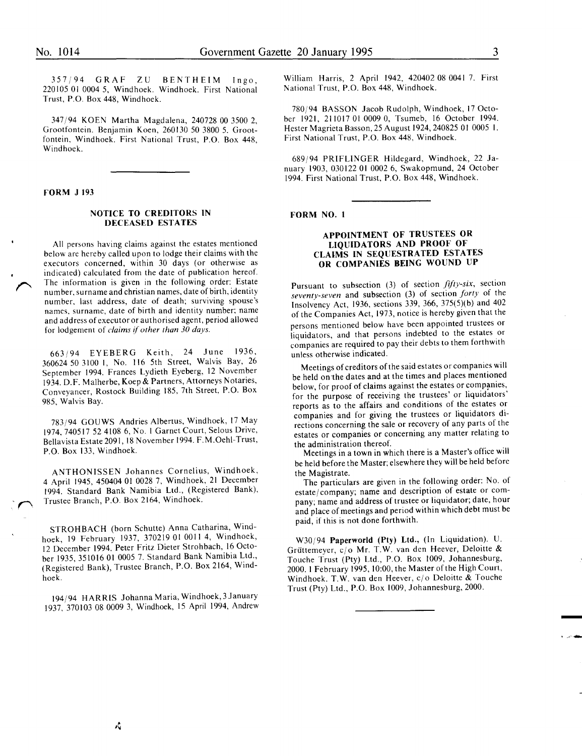357/94 GRAF ZU BENTHEIM lngo,  $2201050100045$ , Windhoek. Windhoek. First National Trust, P.O. Box 448, Windhoek.

347/94 KOEN Martha Magdalena, 240728 00 3500 2, Grootfontein. Benjamin Koen, 260130 50 3800 5. Grootfontein, Windhoek. First National Trust, P.O. Box 448, Windhoek.

FORM J 193

#### NOTICE TO CREDITORS IN DECEASED ESTATES

All persons having claims against the estates mentioned below are hereby called upon to lodge their claims with the executors concerned, within 30 days (or otherwise as indicated) calculated from the date of publication hereof. The information is given in the following order: Estate number, surname and christian names, date of birth, identity number. last address, date of death; surviving spouse's names, surname, date of birth and identity number; name and address of executor or authorised agent, period allowed for lodgement of *claims if other than 30 days.* 

663194 EYEBERG Keith, 24 June 1936, 360624 50 3100 I, No. 116 5th Street, Walvis Bay, 26 September 1994. Frances Lydieth Eyeberg, 12 November 1934. D.F. Malherbe, Koep & Partners, Attorneys Notaries, Conveyancer, Rostock Building 185, 7th Street, P.O. Box 985, Walvis Bay.

783/94 GOUWS Andries Albertus, Windhoek, 17 May 1974, 740517 52 4108 6, No. I Garnet Court, Selous Drive, Bella vista Estate 2091, 18 November 1994. F. M.Oehl-Trust, P.O. Box 133, Windhoek.

ANTHONISSEN Johannes Cornelius, Windhoek, 4 April 1945, 450404 01 0028 7, Windhoek, 21 December 1994. Standard Bank Namibia Ltd., (Registered Bank), Trustee Branch, P.O. Box 2164, Windhoek.

STROHBACH (born Schutte) Anna Catharina, Windhoek, 19 February 1937, 370219 01 0011 4, Windhoek, 12 December 1994. Peter Fritz Dieter Strohbach, 16 October 1935 351016 01 0005 7. Standard Bank Namibia Ltd., (Registered Bank), Trustee Branch, P.O. Box 2164, Windhoek.

194/94 HARRIS Johanna Maria, Windhoek,3January 1937, 370103 08 0009 3, Windhoek, 15 April 1994, Andrew William Harris, 2 April 1942, 420402 08 0041 7. First National Trust, P.O. Box 448, Windhoek.

780/94 BASSON Jacob Rudolph, Windhoek, 17 October 1921, 211017 01 0009 0, Tsumeb, 16 October 1994. Hester Magrieta Basson, 25 August 1924, 240825 01 0005 1. First National Trust, P.O. Box 448, Windhoek.

689/94 PRIFLINGER Hildegard, Windhoek, 22 January 1903, 030122 01 0002 6, Swakopmund, 24 October 1994. First National Trust, P.O. Box 448, Windhoek.

FORM NO.1

#### APPOINTMENT OF TRUSTEES OR LIQUIDATORS AND PROOF OF CLAIMS IN SEQUESTRATED ESTATES OR COMPANIES BEING WOUND UP

Pursuant to subsection (3) of section *fifty-six,* section *seventy-seven* and subsection (3) of section *forty* of the Insolvency Act, 1936, sections 339, 366, 375(5)(b) and 402 of the Companies Act, 1973, notice is hereby given that the persons mentioned below have been appointed trustees or liquidators, and that persons indebted to the estates or companies are required to pay their debts to them forthwtth unless otherwise indicated.

Meetings of creditors of the said estates or companies will be held on the dates and at the times and places mentioned below, for proof of claims against the estates or companies, for the purpose of receiving the trustees' or liquidators' reports as to the affairs and conditions of the estates or companies and for giving the trustees or liquidators directions concerning the sale or recovery of any parts of the estates or companies or concerning any matter relating to the administration thereof.

Meetings in a town in which there is a Master's office will be held before the Master; elsewhere they will be held before the Magistrate.

The particulars are given in the following order: No. of estate/ company; name and description of estate or company; name and address of trustee or liquidator; date, hour and place of meetings and period within which debt must be paid, if this is not done forthwith.

W30j94 Paperworld (Pty) Ltd., (In Liquidation). U. Grüttemeyer, c/o Mr. T.W. van den Heever, Deloitte & Touche Trust (Pty) Ltd., P.O. Box 1009, Johannesburg, 2000. I February 1995, 10:00, the Master of the High Court, Windhoek. T.W. van den Heever, c/o Deloitte & Touche Trust (Pty) Ltd., P.O. Box 1009, Johannesburg, 2000.

-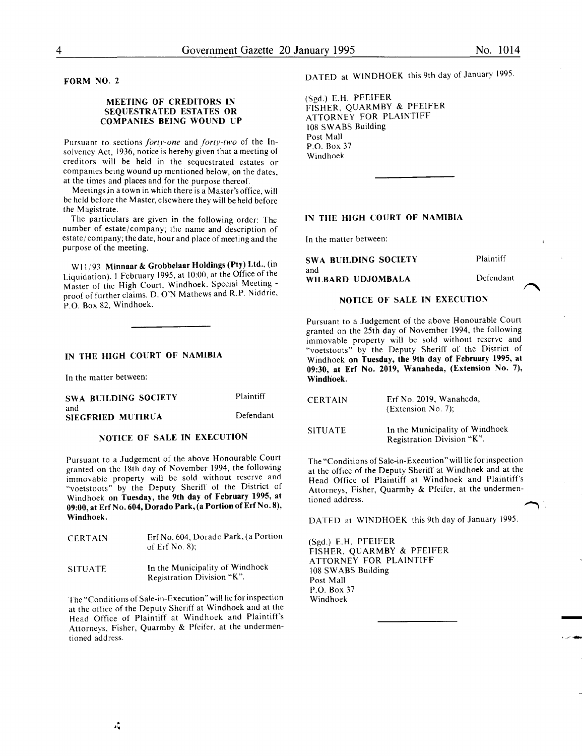#### MEETING OF CREDITORS IN SEQUESTRATED ESTATES OR COMPANIES BEING WOUND UP

Pursuant to sections *forty-one* and *forty-two* of the Insolvency Act, 1936, notice is hereby given that a meeting of creditors will be held in the sequestrated estates or companies being wound up mentioned below, on the dates, at the times and places and for the purpose thereof.

Meetings in a town in which there is a Master's office, will be held before the Master, elsewhere they will be held before the Magistrate.

The particulars are given in the following order: The number of estate/company; the name and description of estate/company; the date, hour and place of meeting and the purpose of the meeting.

W11/93 Minnaar & Grobbelaar Holdings (Pty) Ltd., (in Liquidation). I February 1995, at 10:00, at the Office of the Master of the High Court, Windhoek. Special Meeting proof of further claims. D. O'N Mathews and R.P. Niddrie, P.O. Box 82, Windhoek.

#### IN THE HIGH COURT OF NAMIBIA

In the matter between:

| SWA BUILDING SOCIETY     | Plaintiff |
|--------------------------|-----------|
| and<br>SIEGFRIED MUTIRUA | Defendant |

#### NOTICE OF SALE IN EXECUTION

Pursuant to a Judgement of the above Honourable Court granted on the 18th day of November 1994, the following immovable property will be sold without reserve and "voetstoots" by the Deputy Sheriff of the District of Windhoek on Tuesday, the 9th day of February 1995, at 09:00, at Erf No. 604, Dorado Park, (a Portion of Erf No. 8), Windhoek.

| <b>CERTAIN</b> | Erf No. 604, Dorado Park, (a Portion<br>of Erf No. $8$ );     |
|----------------|---------------------------------------------------------------|
| SITUATE        | In the Municipality of Windhoek<br>Registration Division "K". |

The "Conditions of Sale-in-Execution" will lie for inspection at the office of the Deputy Sheriff at Windhoek and at the Head Office of Plaintiff at Windhoek and Plaintiff's Attorneys, Fisher, Quarmby & Pfeifer, at the undermentioned address.

DATED at WINDHOEK this 9th day of January 1995.

(Sgd.) E.H. PFEIFER FISHER, QUARMBY & PFEIFER ATTORNEY FOR PLAINTIFF 108 SWABS Building Post Mall P.O. Box 37 Windhoek

#### IN THE HIGH COURT OF NAMIBIA

In the matter between:

| SWA BUILDING SOCIETY     | Plaintiff |
|--------------------------|-----------|
| and<br>WILBARD UDJOMBALA | Defendant |

#### NOTICE OF SALE IN EXECUTION

Pursuant to a Judgement of the above Honourable Court granted on the 25th day of November 1994, the following immovable property will be sold without reserve and "voetstoots" by the Deputy Sheriff of the District of Windhoek on Tuesday, the 9th day of February 1995, at 09:30, at Erf No. 2019, Wanaheda, (Extension No. 7), Windhoek.

| <b>CERTAIN</b> | Erf No. 2019, Wanaheda,<br>(Extension No. 7);                 |
|----------------|---------------------------------------------------------------|
| <b>SITUATE</b> | In the Municipality of Windhoek<br>Registration Division "K". |

The "Conditions of Sale-in-Execution" will lie for inspection at the office of the Deputy Sheriff at Windhoek and at the Head Office of Plaintiff at Windhoek and Plaintiff's Attorneys, Fisher, Quarmby & Pfeifer, at the undermentioned address.

DATED at WINDHOEK this 9th day of January 1995.

-

(Sgd.) E.H. PFEIFER FISHER. QUARMBY & PFEIFER ATTORNEY FOR PLAINTIFF 108 SWABS Building Post Mall P.O. Box 37 Windhoek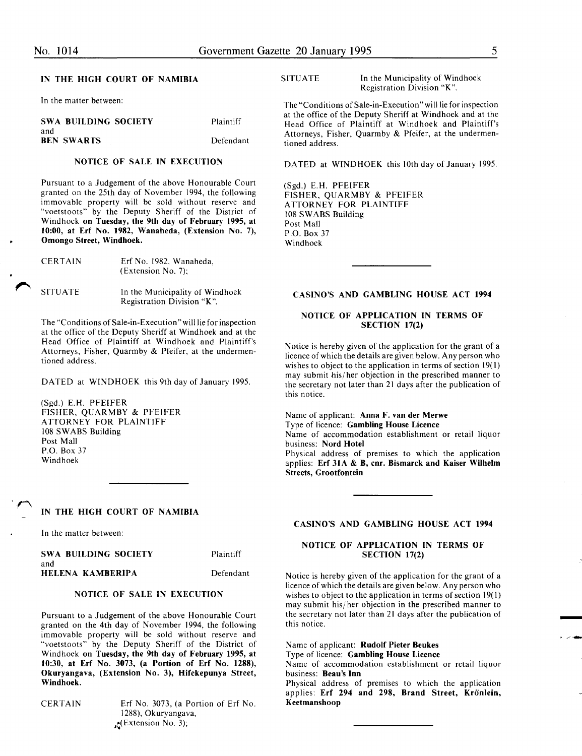#### IN THE HIGH COURT OF NAMIBIA

In the matter between:

|     | SWA BUILDING SOCIETY | Plaintiff |
|-----|----------------------|-----------|
| and |                      |           |
|     | <b>BEN SWARTS</b>    | Defendant |

#### NOTICE OF SALE IN EXECUTION

Pursuant to a Judgement of the above Honourable Court granted on the 25th day of November 1994, the following immovable property will be sold without reserve and "voetstoots" by the Deputy Sheriff of the District of Windhoek on Tuesday, the 9th day of February 1995, at 10:00, at Erf No. 1982, Wanaheda, (Extension No. 7), Omongo Street, Windhoek.

| <b>CERTAIN</b> | Erf No. 1982, Wanaheda,<br>$(Extension No. 7)$ : |  |
|----------------|--------------------------------------------------|--|
| SITUATE        | In the Municipality of Windhoek                  |  |

The "Conditions of Sale-in-Execution" will lie for inspection at the office of the Deputy Sheriff at Windhoek and at the Head Office of Plaintiff at Windhoek and Plaintiff's Attorneys, Fisher, Quarmby & Pfeifer, at the undermentioned address.

Registration Division "K".

DATED at WINDHOEK this 9th day of January 1995.

(Sgd.) E.H. PFEIFER FISHER, QUARMBY & PFEIFER ATTORNEY FOR PLAINTIFF 108 SWABS Building Post Mall P.O. Box 37 Windhoek

#### IN THE HIGH COURT OF NAMIBIA

In the matter between:

SWA BUILDING SOCIETY and HELENA KAMBERIPA

Plaintiff

Defendant

#### NOTICE OF SALE IN EXECUTION

Pursuant to a Judgement of the above Honourable Court granted on the 4th day of November 1994, the following immovable property will be sold without reserve and "voetstoots" by the Deputy Sheriff of the District of Windhoek on Tuesday, the 9th day of February 1995, at 10:30, at Erf No. 3073, (a Portion of Erf No. 1288), Okuryangava, (Extension No. 3), Hifekepunya Street, Windhoek.

CERTAIN Erf No. 3073, (a Portion of Erf No. 1288), Okuryangava,  $\mathcal{L}$ (Extension No. 3);

SITUATE In the Municipality of Windhoek Registration Division "K".

The "Conditions of Sale-in-Execution" will lie for inspection at the office of the Deputy Sheriff at Windhoek and at the Head Office of Plaintiff at Windhoek and Plaintiff's Attorneys, Fisher, Quarmby & Pfeifer, at the undermentioned address.

DATED at WINDHOEK this lOth day of January 1995.

(Sgd.) E.H. PFEIFER FISHER, QUARMBY & PFEIFER ATTORNEY FOR PLAINTIFF 108 SWABS Building Post Mall P.O. Box 37 Windhoek

#### CASINO'S AND GAMBLING HOUSE ACT 1994

### NOTICE OF APPLICATION IN TERMS OF SECTION 17(2)

Notice is hereby given of the application for the grant of a licence of which the details are given below. Any person who wishes to object to the application in terms of section 19(1) may submit his/ her objection in the prescribed manner to the secretary not later than 21 days after the publication of this notice.

Name of applicant: Anna F. van der Merwe Type of licence: Gambling House Licence Name of accommodation establishment or retail liquor

business: Nord Hotel Physical address of premises to which the application applies: Erf 31A & B, cnr. Bismarck and Kaiser Wilhelm Streets, Grootfontein

#### CASINO'S AND GAMBLING HOUSE ACT 1994

#### NOTICE OF APPLICATION IN TERMS OF SECTION 17(2)

Notice is hereby given of the application for the grant of a licence of which the details are given below. Any person who wishes to object to the application in terms of section  $19(1)$ may submit his/ her objection in the prescribed manner to the secretary not later than 21 days after the publication of this notice.

-

Name of applicant: Rudolf Pieter Beukes Type of licence: Gambling House Licence

Name of accommodation establishment or retail liquor business: Beau's Inn

Physical address of premises to which the application applies: Erf 294 and 298, Brand Street, Krönlein, Keetmanshoop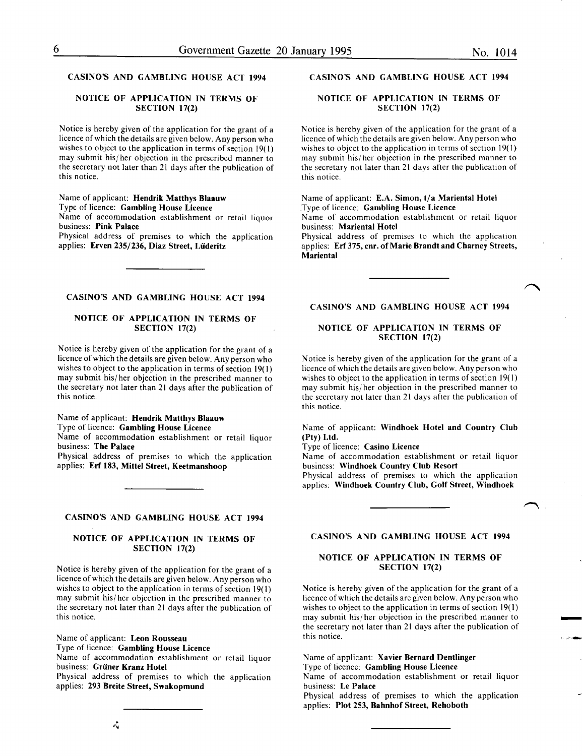### CASINO'S AND GAMBLING HOUSE ACT 1994

#### NOTICE OF APPLICATION IN TERMS OF SECTION 17(2)

Notice is hereby given of the application for the grant of a licence of which the details are given below. Any person who wishes to object to the application in terms of section 19(1) may submit his/ her objection in the prescribed manner to the secretary not later than 21 days after the publication of this notice.

Name of applicant: Hendrik Matthys Blaauw Type of licence: Gambling House Licence Name of accommodation establishment or retail liquor

business: Pink Palace Physical address of premises to which the application

applies: Erven 235/236, Diaz Street, Liideritz

#### CASINO'S AND GAMBLING HOUSE ACT 1994

#### NOTICE OF APPLICATION IN TERMS OF SECTION 17(2)

Notice is hereby given of the application for the grant of a licence of which the details are given below. Any person who wishes to object to the application in terms of section 19(1) may submit his/ her objection in the prescribed manner to the secretary not later than 21 days after the publication of this notice.

Name of applicant: Hendrik Matthys Blaauw Type of licence: Gambling House Licence

Name of accommodation establishment or retail liquor business: The Palace

Physical address of premises to which the application applies: Erf 183, Mittel Street, Keetmanshoop

#### CASINO'S AND GAMBLING HOUSE ACT 1994

#### NOTICE OF APPLICATION IN TERMS OF SECTION 17(2)

Notice is hereby given of the application for the grant of a licence of which the details are given below. Any person who wishes to object to the application in terms of section 19(1) may submit his/ her objection in the prescribed manner to the secretary not later than 21 days after the publication of this notice.

Name of applicant: Leon Rousseau

Type of licence: Gambling House Licence

Name of accommodation establishment or retail liquor business: Grüner Kranz Hotel

Physical address of premises to which the application applies: 293 Breite Street, Swakopmund

CASINO'S AND GAMBLING HOUSE ACT 1994

#### NOTICE OF APPLICATION IN TERMS OF SECTION 17(2)

Notice is hereby given of the application for the grant of a licence of which the details are given below. Any person who wishes to object to the application in terms of section  $19(1)$ may submit his/ her objection in the prescribed manner to the secretary not later than 21 days after the publication of this notice.

Name of applicant: E.A. Simon, t/a Mariental Hotel Type of licence: Gambling House Licence Name of accommodation establishment or retail liquor business: Mariental Hotel

Physical address of premises to which the application applies: Erf 375, cnr. of Marie Brandt and Charney Streets, Mariental

#### CASINO'S AND GAMBLING HOUSE ACT 1994

#### NOTICE OF APPLICATION IN TERMS OF SECTION 17(2)

Notice is hereby given of the application for the grant of a licence of which the details are given below. Any person who wishes to object to the application in terms of section  $19(1)$ may submit his/ her objection in the prescribed manner to the secretary not later than 21 days after the publication of this notice.

Name of applicant: Windhoek Hotel and Country Club (Pty) Ltd.

Type of licence: Casino Licence

Name of accommodation establishment or retail liquor business: Windhoek Country Club Resort

Physical address of premises to which the application applies: Windhoek Country Club, Golf Street, Windhoek

CASINO'S AND GAMBLING HOUSE ACT 1994

#### NOTICE OF APPLICATION IN TERMS OF SECTION 17(2)

Notice is hereby given of the application for the grant of a licence of which the details are given below. Any person who wishes to object to the application in terms of section  $19(1)$ may submit his/ her objection in the prescribed manner to the secretary not later than 21 days after the publication of this notice.

-

Name of applicant: Xavier Bernard Dentlinger Type of licence: Gambling House Licence

Name of accommodation establishment or retail liquor business: Le Palace

Physical address of premises to which the application applies: Plot 253, Bahnhof Street, Rehoboth

 $\mathcal{L}_{\mathbf{q}}$